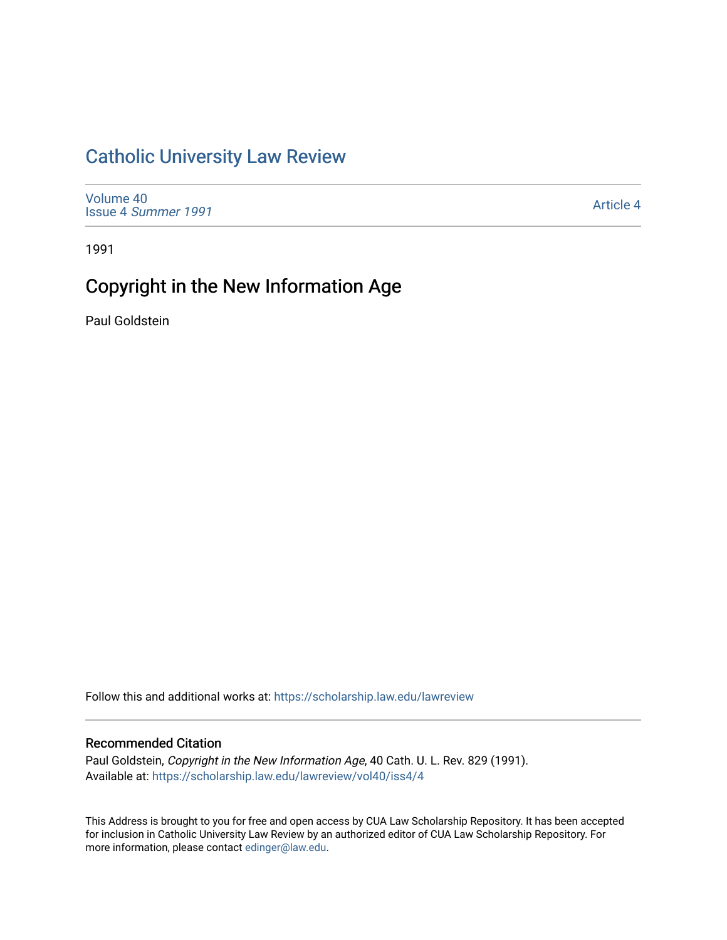## [Catholic University Law Review](https://scholarship.law.edu/lawreview)

[Volume 40](https://scholarship.law.edu/lawreview/vol40) Issue 4 [Summer 1991](https://scholarship.law.edu/lawreview/vol40/iss4) 

[Article 4](https://scholarship.law.edu/lawreview/vol40/iss4/4) 

1991

# Copyright in the New Information Age

Paul Goldstein

Follow this and additional works at: [https://scholarship.law.edu/lawreview](https://scholarship.law.edu/lawreview?utm_source=scholarship.law.edu%2Flawreview%2Fvol40%2Fiss4%2F4&utm_medium=PDF&utm_campaign=PDFCoverPages)

### Recommended Citation

Paul Goldstein, Copyright in the New Information Age, 40 Cath. U. L. Rev. 829 (1991). Available at: [https://scholarship.law.edu/lawreview/vol40/iss4/4](https://scholarship.law.edu/lawreview/vol40/iss4/4?utm_source=scholarship.law.edu%2Flawreview%2Fvol40%2Fiss4%2F4&utm_medium=PDF&utm_campaign=PDFCoverPages)

This Address is brought to you for free and open access by CUA Law Scholarship Repository. It has been accepted for inclusion in Catholic University Law Review by an authorized editor of CUA Law Scholarship Repository. For more information, please contact [edinger@law.edu.](mailto:edinger@law.edu)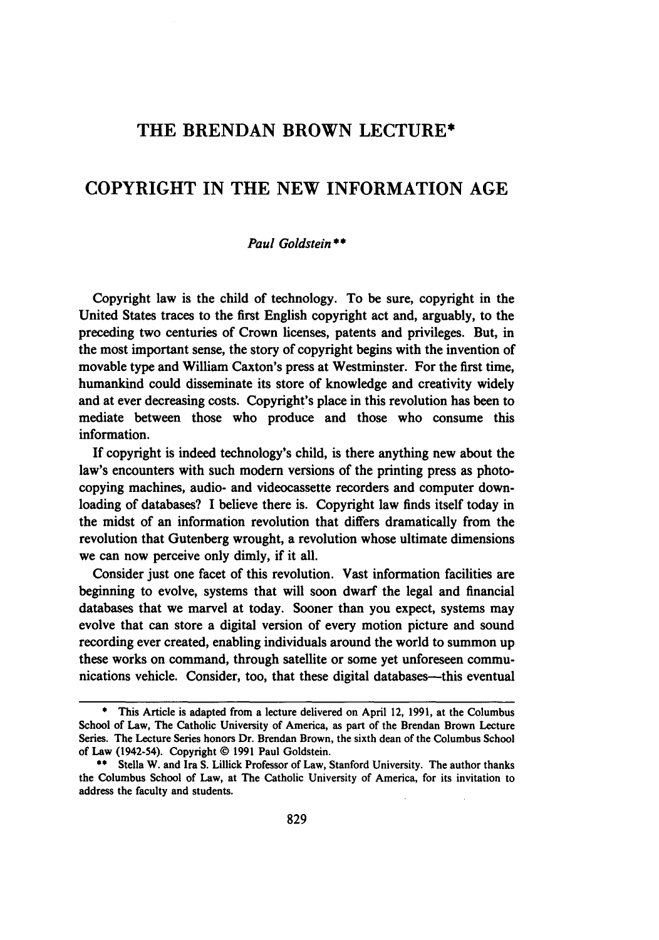## THE **BRENDAN** BROWN **LECTURE\***

## COPYRIGHT IN THE **NEW** INFORMATION **AGE**

#### *Paul Goldstein \*\**

Copyright law is the child of technology. To be sure, copyright in the United States traces to the first English copyright act and, arguably, to the preceding two centuries of Crown licenses, patents and privileges. But, in the most important sense, the story of copyright begins with the invention of movable type and William Caxton's press at Westminster. For the first time, humankind could disseminate its store of knowledge and creativity widely and at ever decreasing costs. Copyright's place in this revolution has been to mediate between those who produce and those who consume this information.

If copyright is indeed technology's child, is there anything new about the law's encounters with such modem versions of the printing press as photocopying machines, audio- and videocassette recorders and computer downloading of databases? I believe there is. Copyright law finds itself today in the midst of an information revolution that differs dramatically from the revolution that Gutenberg wrought, a revolution whose ultimate dimensions we can now perceive only dimly, if it all.

Consider just one facet of this revolution. Vast information facilities are beginning to evolve, systems that will soon dwarf the legal and financial databases that we marvel at today. Sooner than you expect, systems may evolve that can store a digital version of every motion picture and sound recording ever created, enabling individuals around the world to summon up these works on command, through satellite or some yet unforeseen communications vehicle. Consider, too, that these digital databases—this eventual

**<sup>\*</sup>** This Article is adapted from a lecture delivered on April 12, **1991,** at the Columbus School of Law, The Catholic University of America, as part of the Brendan Brown Lecture Series. The Lecture Series honors Dr. Brendan Brown, the sixth dean of the Columbus School of Law (1942-54). Copyright **@ 1991** Paul Goldstein.

**<sup>\*\*</sup>** Stella W. and Ira **S.** Lillick Professor of Law, Stanford University. The author thanks the Columbus School of Law, at The Catholic University of America, for its invitation to address the faculty and students.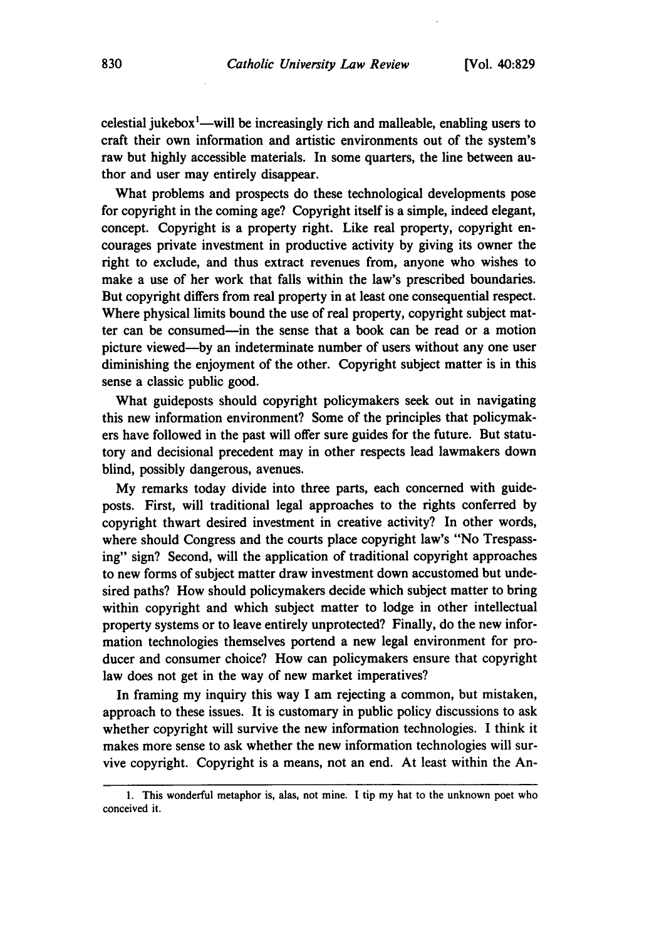celestial jukebox<sup>1</sup>—will be increasingly rich and malleable, enabling users to craft their own information and artistic environments out of the system's raw but highly accessible materials. In some quarters, the line between author and user may entirely disappear.

What problems and prospects do these technological developments pose for copyright in the coming age? Copyright itself is a simple, indeed elegant, concept. Copyright is a property right. Like real property, copyright encourages private investment in productive activity by giving its owner the right to exclude, and thus extract revenues from, anyone who wishes to make a use of her work that falls within the law's prescribed boundaries. But copyright differs from real property in at least one consequential respect. Where physical limits bound the use of real property, copyright subject matter can be consumed-in the sense that a book can be read or a motion picture viewed-by an indeterminate number of users without any one user diminishing the enjoyment of the other. Copyright subject matter is in this sense a classic public good.

What guideposts should copyright policymakers seek out in navigating this new information environment? Some of the principles that policymakers have followed in the past will offer sure guides for the future. But statutory and decisional precedent may in other respects lead lawmakers down blind, possibly dangerous, avenues.

My remarks today divide into three parts, each concerned with guideposts. First, will traditional legal approaches to the rights conferred by copyright thwart desired investment in creative activity? In other words, where should Congress and the courts place copyright law's "No Trespassing" sign? Second, will the application of traditional copyright approaches to new forms of subject matter draw investment down accustomed but undesired paths? How should policymakers decide which subject matter to bring within copyright and which subject matter to lodge in other intellectual property systems or to leave entirely unprotected? Finally, do the new information technologies themselves portend a new legal environment for producer and consumer choice? How can policymakers ensure that copyright law does not get in the way of new market imperatives?

In framing my inquiry this way I am rejecting a common, but mistaken, approach to these issues. It is customary in public policy discussions to ask whether copyright will survive the new information technologies. I think it makes more sense to ask whether the new information technologies will survive copyright. Copyright is a means, not an end. At least within the An-

**<sup>1.</sup>** This wonderful metaphor is, alas, not mine. I tip my hat to the unknown poet who conceived it.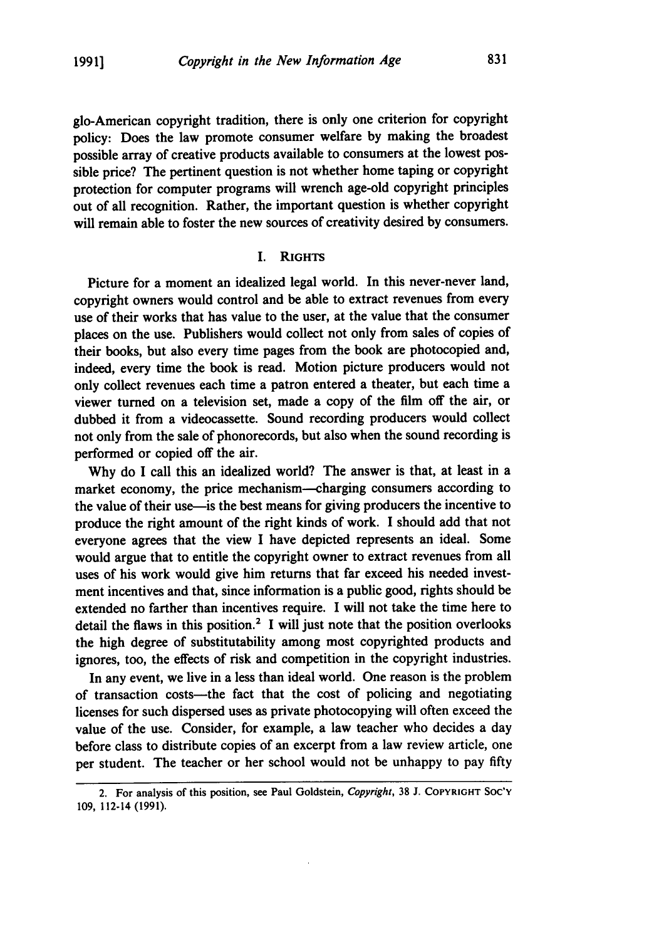giG-American copyright tradition, there is only one criterion for copyright policy: Does the law promote consumer welfare **by** making the broadest possible array of creative products available to consumers at the lowest possible price? The pertinent question is not whether home taping or copyright protection for computer programs will wrench age-old copyright principles out of all recognition. Rather, the important question is whether copyright will remain able to foster the new sources of creativity desired **by** consumers.

#### I. **RIGHTS**

Picture for a moment an idealized legal world. In this never-never land, copyright owners would control and be able to extract revenues from every use of their works that has value to the user, at the value that the consumer places on the use. Publishers would collect not only from sales of copies of their books, but also every time pages from the book are photocopied and, indeed, every time the book is read. Motion picture producers would not only collect revenues each time a patron entered a theater, but each time a viewer turned on a television set, made a copy of the film off the air, or dubbed it from a videocassette. Sound recording producers would collect not only from the sale of phonorecords, but also when the sound recording is performed or copied off the air.

**Why** do I call this an idealized world? The answer is that, at least in a market economy, the price mechanism--charging consumers according to the value of their use-is the best means for giving producers the incentive to produce the right amount of the right kinds of work. I should add that not everyone agrees that the view I have depicted represents an ideal. Some would argue that to entitle the copyright owner to extract revenues from all uses of his work would give him returns that far exceed his needed investment incentives and that, since information is a public good, rights should be extended no farther than incentives require. I will not take the time here to detail the flaws in this position.<sup>2</sup> I will just note that the position overlooks the high degree of substitutability among most copyrighted products and ignores, too, the effects of risk and competition in the copyright industries.

In any event, we live in a less than ideal world. One reason is the problem of transaction costs-the fact that the cost of policing and negotiating licenses for such dispersed uses as private photocopying will often exceed the value of the use. Consider, for example, a law teacher who decides a day before class to distribute copies of an excerpt from a law review article, one per student. The teacher or her school would not be unhappy to pay **fifty**

<sup>2.</sup> For analysis of this position, see Paul Goldstein, Copyright, **38 J. COPYRIGHT SOC'Y 109,** 112-14 **(1991).**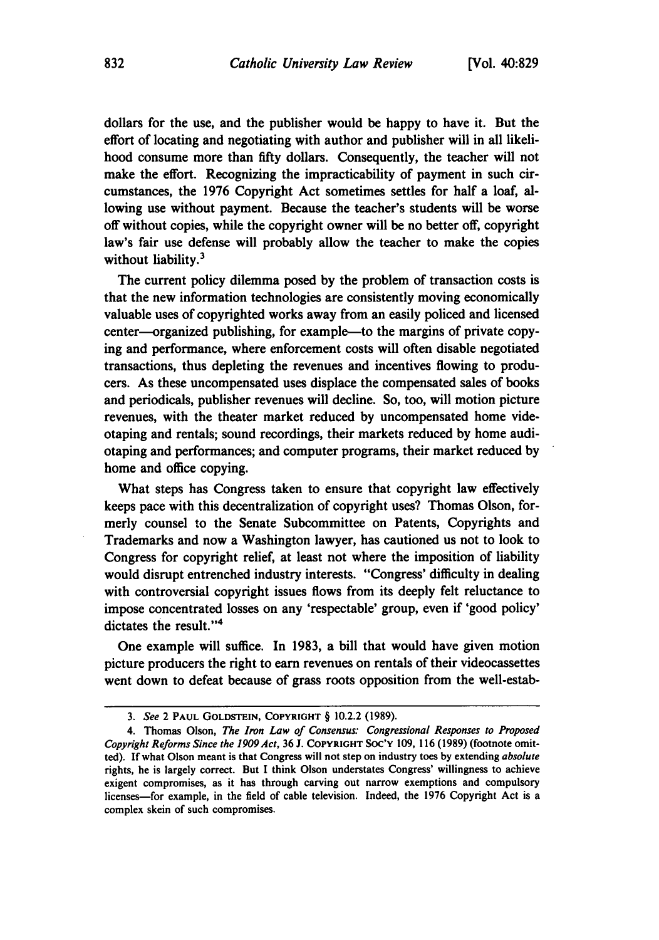dollars for the use, and the publisher would be happy to have it. But the effort of locating and negotiating with author and publisher will in all likelihood consume more than **fifty** dollars. Consequently, the teacher will not make the effort. Recognizing the impracticability of payment in such circumstances, the **1976** Copyright Act sometimes settles for half a loaf, allowing use without payment. Because the teacher's students will be worse off without copies, while the copyright owner will be no better off, copyright law's fair use defense will probably allow the teacher to make the copies without liability.<sup>3</sup>

The current policy dilemma posed **by** the problem of transaction costs is that the new information technologies are consistently moving economically valuable uses of copyrighted works away from an easily policed and licensed center-organized publishing, for example-to the margins of private copying and performance, where enforcement costs will often disable negotiated transactions, thus depleting the revenues and incentives flowing to producers. As these uncompensated uses displace the compensated sales of books and periodicals, publisher revenues will decline. So, too, will motion picture revenues, with the theater market reduced **by** uncompensated home videotaping and rentals; sound recordings, their markets reduced **by** home audiotaping and performances; and computer programs, their market reduced **by** home and office copying.

What steps has Congress taken to ensure that copyright law effectively keeps pace with this decentralization of copyright uses? Thomas Olson, formerly counsel to the Senate Subcommittee on Patents, Copyrights and Trademarks and now a Washington lawyer, has cautioned us not to look to Congress for copyright relief, at least not where the imposition of liability would disrupt entrenched industry interests. "Congress' difficulty in dealing with controversial copyright issues flows from its deeply felt reluctance to impose concentrated losses on any 'respectable' group, even if 'good policy' dictates the result."<sup>4</sup>

One example will suffice. In **1983,** a bill that would have given motion picture producers the right to earn revenues on rentals of their videocassettes went down to defeat because of grass roots opposition from the well-estab-

*<sup>3.</sup> See* 2 **PAUL GOLDSTEIN, COPYRIGHT** § 10.2.2 **(1989).**

<sup>4.</sup> Thomas Olson, *The Iron Law of Consensus: Congressional Responses to Proposed Copyright Reforms Since the 1909 Act,* **36 J. COPYRIGHT SOC'Y 109, 116 (1989)** (footnote omitted). **If** what Olson meant is that Congress will not step on industry toes **by** extending *absolute* rights, he is largely correct. But **I** think Olson understates Congress' willingness to achieve exigent compromises, as it has through carving out narrow exemptions and compulsory licenses-for example, in the field of cable television. Indeed, the **1976** Copyright Act is a complex skein of such compromises.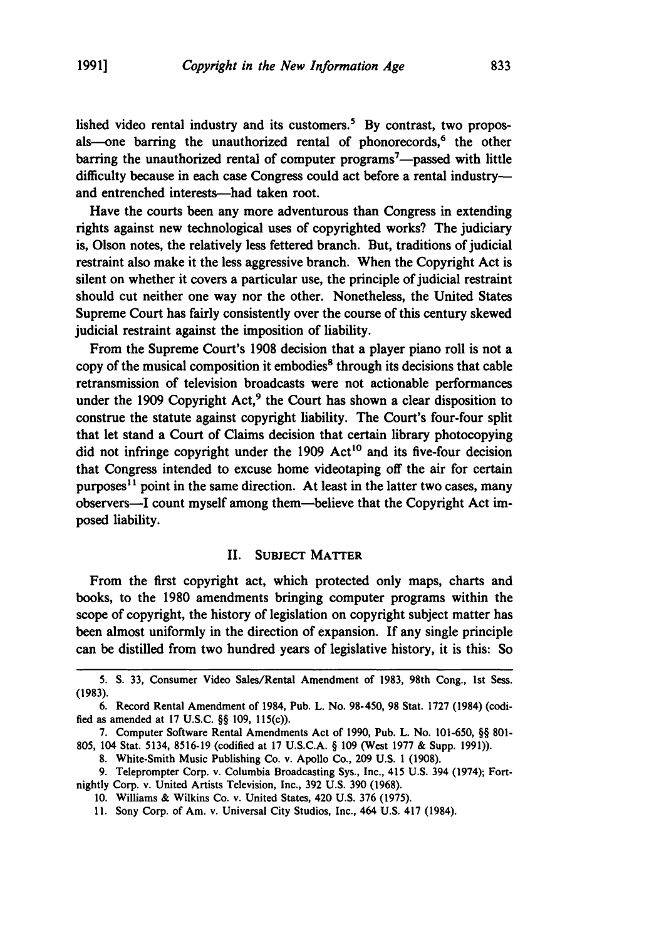lished video rental industry and its customers.<sup>5</sup> By contrast, two proposals—one barring the unauthorized rental of phonorecords, $<sup>6</sup>$  the other</sup> barring the unauthorized rental of computer **programs7-passed** with little difficulty because in each case Congress could act before a rental industryand entrenched interests-had taken root.

Have the courts been any more adventurous than Congress in extending rights against new technological uses of copyrighted works? The judiciary is, Olson notes, the relatively less fettered branch. But, traditions of judicial restraint also make it the less aggressive branch. When the Copyright Act is silent on whether it covers a particular use, the principle of judicial restraint should cut neither one way nor the other. Nonetheless, the United States Supreme Court has fairly consistently over the course of this century skewed judicial restraint against the imposition of liability.

From the Supreme Court's **1908** decision that a player piano roll is not a copy of the musical composition it embodies' through its decisions that cable retransmission of television broadcasts were not actionable performances under the 1909 Copyright Act,<sup>9</sup> the Court has shown a clear disposition to construe the statute against copyright liability. The Court's four-four split that let stand a Court of Claims decision that certain library photocopying did not infringe copyright under the 1909 Act<sup>10</sup> and its five-four decision that Congress intended to excuse home videotaping off the air for certain purposes<sup>11</sup> point in the same direction. At least in the latter two cases, many observers-I count myself among them-believe that the Copyright Act imposed liability.

#### **II. SUBJECT** MATTER

From the first copyright act, which protected only maps, charts and books, to the **1980** amendments bringing computer programs within the scope of copyright, the history of legislation on copyright subject matter has been almost uniformly in the direction of expansion. **If** any single principle can be distilled from two hundred years of legislative history, it is this: So

nightly Corp. v. United Artists Television, Inc., **392 U.S. 390 (1968). 10.** Williams **&** Wilkins Co. v. United States, 420 **U.S. 376 (1975).**

**<sup>5.</sup> S. 33,** Consumer Video Sales/Rental Amendment of **1983,** 98th Cong., **1st** Sess. **(1983).**

**<sup>6.</sup>** Record Rental Amendment of 1984, Pub. L. No. **98-450, 98** Stat. **1727** (1984) (codified as amended at **17 U.S.C.** §§ **109,** 115(c)).

**<sup>7.</sup>** Computer Software Rental Amendments Act of **1990,** Pub. L. No. **101-650,** §§ **801- 805,** 104 Stat. 5134, **8516-19** (codified at **17 U.S.C.A.** § **109** (West **1977 &** Supp. **1991)).**

**<sup>8.</sup>** White-Smith Music Publishing Co. v. Apollo Co., **209 U.S. 1 (1908).**

**<sup>9.</sup>** Teleprompter Corp. v. Columbia Broadcasting Sys., Inc., 415 **U.S.** 394 (1974); Fort-

**<sup>11.</sup>** Sony Corp. of Am. v. Universal City Studios, Inc., 464 **U.S.** 417 (1984).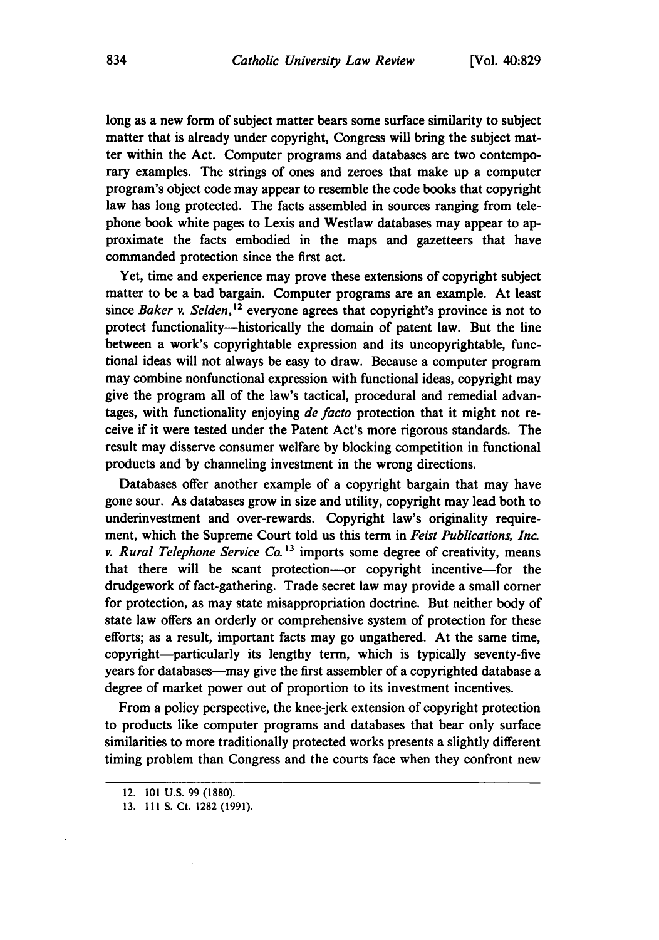long as a new form of subject matter bears some surface similarity to subject matter that is already under copyright, Congress will bring the subject matter within the Act. Computer programs and databases are two contemporary examples. The strings of ones and zeroes that make up a computer program's object code may appear to resemble the code books that copyright law has long protected. The facts assembled in sources ranging from telephone book white pages to Lexis and Westlaw databases may appear to approximate the facts embodied in the maps and gazetteers that have commanded protection since the first act.

Yet, time and experience may prove these extensions of copyright subject matter to be a bad bargain. Computer programs are an example. At least since Baker v. Selden,<sup>12</sup> everyone agrees that copyright's province is not to protect functionality-historically the domain of patent law. But the line between a work's copyrightable expression and its uncopyrightable, functional ideas will not always be easy to draw. Because a computer program may combine nonfunctional expression with functional ideas, copyright may give the program all of the law's tactical, procedural and remedial advantages, with functionality enjoying *de* facto protection that it might not receive if it were tested under the Patent Act's more rigorous standards. The result may disserve consumer welfare **by** blocking competition in functional products and **by** channeling investment in the wrong directions.

Databases offer another example of a copyright bargain that may have gone sour. As databases grow in size and utility, copyright may lead both to underinvestment and over-rewards. Copyright law's originality requirement, which the Supreme Court told us this term in *Feist Publications, Inc. v. Rural Telephone Service Co."3* imports some degree of creativity, means that there will be scant protection--or copyright incentive-for the drudgework of fact-gathering. Trade secret law may provide a small corner for protection, as may state misappropriation doctrine. But neither body of state law offers an orderly or comprehensive system of protection for these efforts; as a result, important facts may go ungathered. At the same time, copyright-particularly its lengthy term, which is typically seventy-five years for databases—may give the first assembler of a copyrighted database a degree of market power out of proportion to its investment incentives.

From a policy perspective, the knee-jerk extension of copyright protection to products like computer programs and databases that bear only surface similarities to more traditionally protected works presents a slightly different timing problem than Congress and the courts face when they confront new

<sup>12.</sup> **101 U.S. 99 (1880).**

<sup>13.</sup> **111 S.** Ct. 1282 (1991).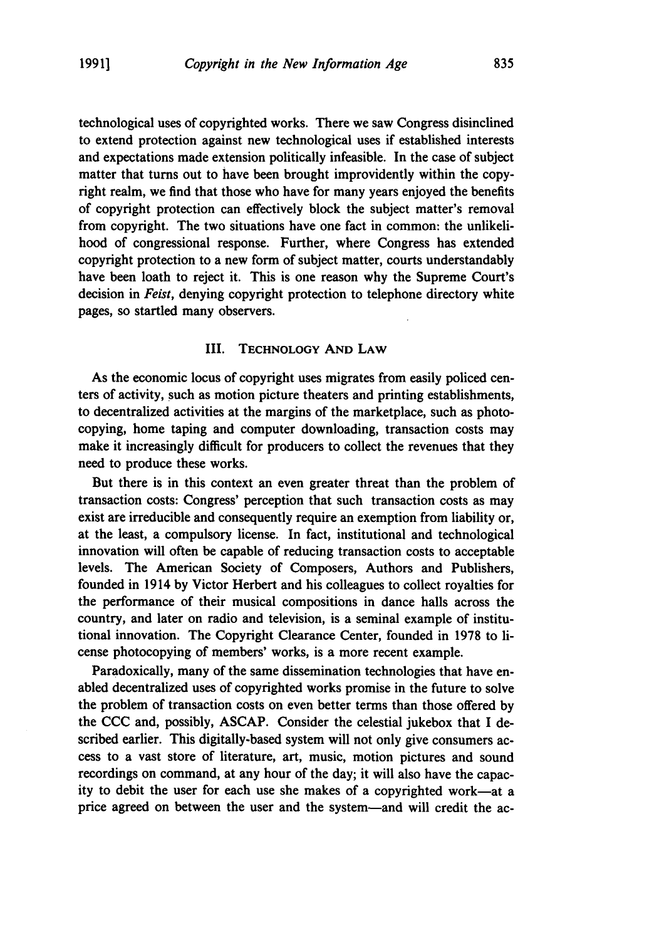technological uses of copyrighted works. There we saw Congress disinclined to extend protection against new technological uses if established interests and expectations made extension politically infeasible. In the case of subject matter that turns out to have been brought improvidently within the copyright realm, we find that those who have for many years enjoyed the benefits of copyright protection can effectively block the subject matter's removal from copyright. The two situations have one fact in common: the unlikelihood of congressional response. Further, where Congress has extended copyright protection to a new form of subject matter, courts understandably have been loath to reject it. This is one reason why the Supreme Court's decision in *Feist,* denying copyright protection to telephone directory white pages, so startled many observers.

#### III. **TECHNOLOGY AND** LAW

As the economic locus of copyright uses migrates from easily policed centers of activity, such as motion picture theaters and printing establishments, to decentralized activities at the margins of the marketplace, such as photocopying, home taping and computer downloading, transaction costs may make it increasingly difficult for producers to collect the revenues that they need to produce these works.

But there is in this context an even greater threat than the problem of transaction costs: Congress' perception that such transaction costs as may exist are irreducible and consequently require an exemption from liability or, at the least, a compulsory license. In fact, institutional and technological innovation will often be capable of reducing transaction costs to acceptable levels. The American Society of Composers, Authors and Publishers, founded in 1914 **by** Victor Herbert and his colleagues to collect royalties for the performance of their musical compositions in dance halls across the country, and later on radio and television, is a seminal example of institutional innovation. The Copyright Clearance Center, founded in **1978** to license photocopying of members' works, is a more recent example.

Paradoxically, many of the same dissemination technologies that have enabled decentralized uses of copyrighted works promise in the future to solve the problem of transaction costs on even better terms than those offered **by** the CCC and, possibly, ASCAP. Consider the celestial jukebox that I described earlier. This digitally-based system will not only give consumers access to a vast store of literature, art, music, motion pictures and sound recordings on command, at any hour of the day; it will also have the capacity to debit the user for each use she makes of a copyrighted work-at a price agreed on between the user and the system-and will credit the ac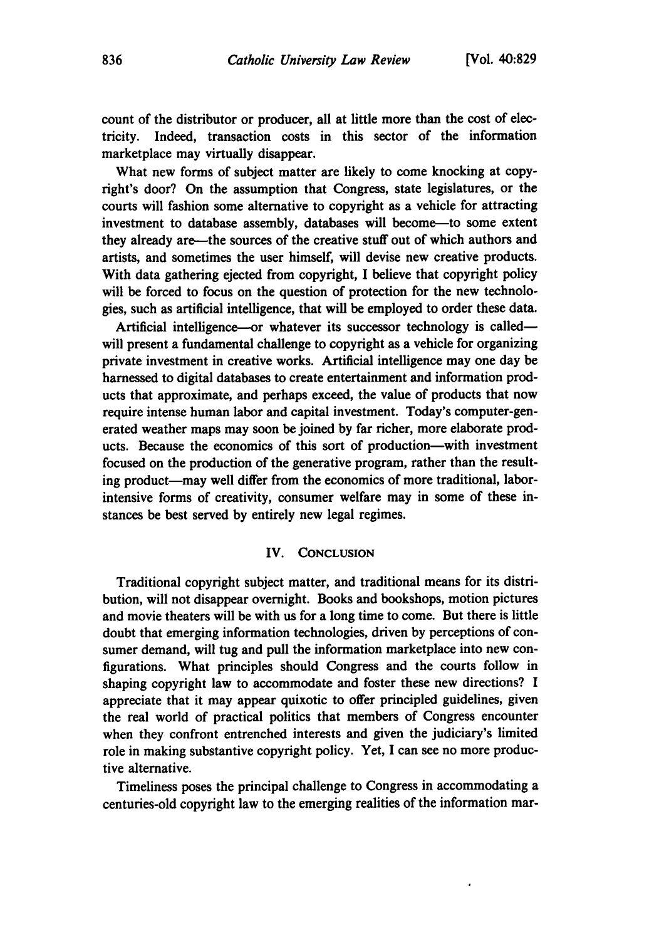count of the distributor or producer, all at little more than the cost of electricity. Indeed, transaction costs in this sector of the information marketplace may virtually disappear.

What new forms of subject matter are likely to come knocking at copyright's door? On the assumption that Congress, state legislatures, or the courts will fashion some alternative to copyright as a vehicle for attracting investment to database assembly, databases will become-to some extent they already are-the sources of the creative stuff out of which authors and artists, and sometimes the user himself, will devise new creative products. With data gathering ejected from copyright, I believe that copyright policy will be forced to focus on the question of protection for the new technologies, such as artificial intelligence, that will be employed to order these data.

Artificial intelligence-or whatever its successor technology is calledwill present a fundamental challenge to copyright as a vehicle for organizing private investment in creative works. Artificial intelligence may one day be harnessed to digital databases to create entertainment and information products that approximate, and perhaps exceed, the value of products that now require intense human labor and capital investment. Today's computer-generated weather maps may soon be joined **by** far richer, more elaborate products. Because the economics of this sort of production-with investment focused on the production of the generative program, rather than the resulting product-may well differ from the economics of more traditional, laborintensive forms of creativity, consumer welfare may in some of these instances be best served **by** entirely new legal regimes.

#### IV. **CONCLUSION**

Traditional copyright subject matter, and traditional means for its distribution, will not disappear overnight. Books and bookshops, motion pictures and movie theaters will be with us for a long time to come. But there is little doubt that emerging information technologies, driven **by** perceptions of consumer demand, will tug and pull the information marketplace into new configurations. What principles should Congress and the courts follow in shaping copyright law to accommodate and foster these new directions? **I** appreciate that it may appear quixotic to offer principled guidelines, given the real world of practical politics that members of Congress encounter when they confront entrenched interests and given the judiciary's limited role in making substantive copyright policy. Yet, I can see no more productive alternative.

Timeliness poses the principal challenge to Congress in accommodating a centuries-old copyright law to the emerging realities of the information mar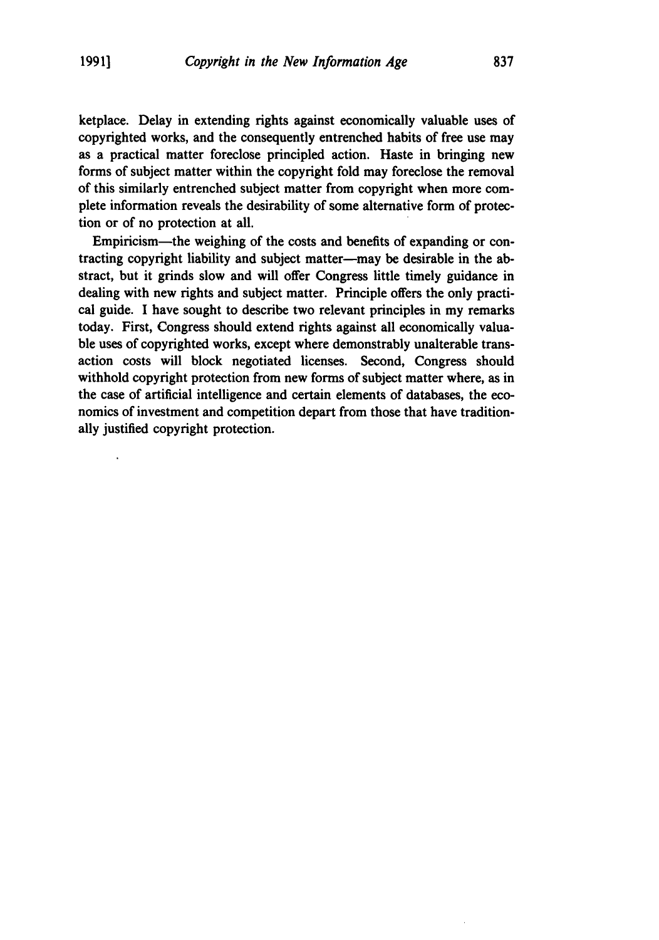ketplace. Delay in extending rights against economically valuable uses of copyrighted works, and the consequently entrenched habits of free use may as a practical matter foreclose principled action. Haste in bringing new forms of subject matter within the copyright fold may foreclose the removal of this similarly entrenched subject matter from copyright when more complete information reveals the desirability of some alternative form of protection or of no protection at all.

Empiricism-the weighing of the costs and benefits of expanding or contracting copyright liability and subject matter-may be desirable in the abstract, but it grinds slow and will offer Congress little timely guidance in dealing with new rights and subject matter. Principle offers the only practical guide. I have sought to describe two relevant principles in my remarks today. First, Congress should extend rights against all economically valuable uses of copyrighted works, except where demonstrably unalterable transaction costs will block negotiated licenses. Second, Congress should withhold copyright protection from new forms of subject matter where, as in the case of artificial intelligence and certain elements of databases, the economics of investment and competition depart from those that have traditionally justified copyright protection.